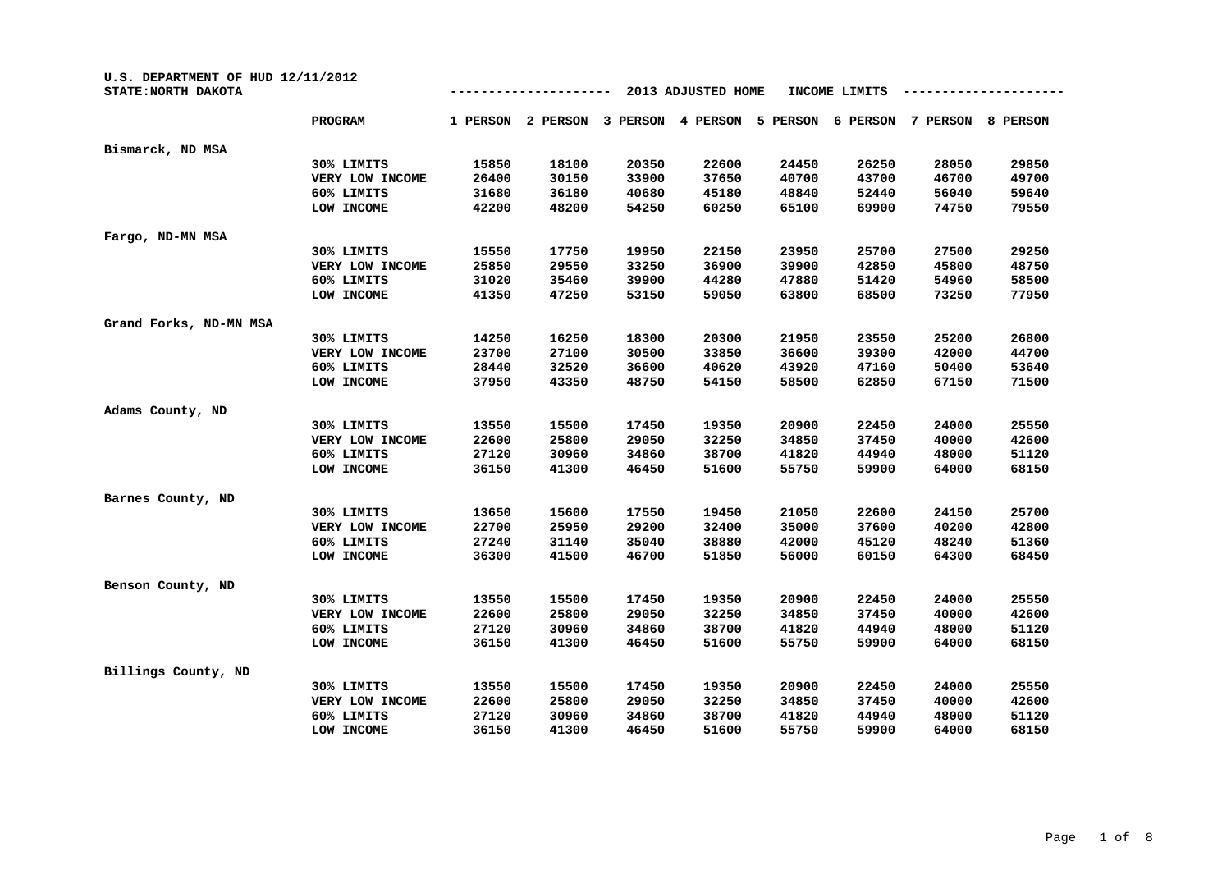| U.S. DEPARTMENT OF HUD 12/11/2012<br>STATE: NORTH DAKOTA |                 |          |          |          | 2013 ADJUSTED HOME |          | INCOME LIMITS |          |          |
|----------------------------------------------------------|-----------------|----------|----------|----------|--------------------|----------|---------------|----------|----------|
|                                                          | <b>PROGRAM</b>  | 1 PERSON | 2 PERSON | 3 PERSON | 4 PERSON           | 5 PERSON | 6 PERSON      | 7 PERSON | 8 PERSON |
| Bismarck, ND MSA                                         |                 |          |          |          |                    |          |               |          |          |
|                                                          | 30% LIMITS      | 15850    | 18100    | 20350    | 22600              | 24450    | 26250         | 28050    | 29850    |
|                                                          | VERY LOW INCOME | 26400    | 30150    | 33900    | 37650              | 40700    | 43700         | 46700    | 49700    |
|                                                          | 60% LIMITS      | 31680    | 36180    | 40680    | 45180              | 48840    | 52440         | 56040    | 59640    |
|                                                          | LOW INCOME      | 42200    | 48200    | 54250    | 60250              | 65100    | 69900         | 74750    | 79550    |
| Fargo, ND-MN MSA                                         |                 |          |          |          |                    |          |               |          |          |
|                                                          | 30% LIMITS      | 15550    | 17750    | 19950    | 22150              | 23950    | 25700         | 27500    | 29250    |
|                                                          | VERY LOW INCOME | 25850    | 29550    | 33250    | 36900              | 39900    | 42850         | 45800    | 48750    |
|                                                          | 60% LIMITS      | 31020    | 35460    | 39900    | 44280              | 47880    | 51420         | 54960    | 58500    |
|                                                          | LOW INCOME      | 41350    | 47250    | 53150    | 59050              | 63800    | 68500         | 73250    | 77950    |
| Grand Forks, ND-MN MSA                                   |                 |          |          |          |                    |          |               |          |          |
|                                                          | 30% LIMITS      | 14250    | 16250    | 18300    | 20300              | 21950    | 23550         | 25200    | 26800    |
|                                                          | VERY LOW INCOME | 23700    | 27100    | 30500    | 33850              | 36600    | 39300         | 42000    | 44700    |
|                                                          | 60% LIMITS      | 28440    | 32520    | 36600    | 40620              | 43920    | 47160         | 50400    | 53640    |
|                                                          | LOW INCOME      | 37950    | 43350    | 48750    | 54150              | 58500    | 62850         | 67150    | 71500    |
| Adams County, ND                                         |                 |          |          |          |                    |          |               |          |          |
|                                                          | 30% LIMITS      | 13550    | 15500    | 17450    | 19350              | 20900    | 22450         | 24000    | 25550    |
|                                                          | VERY LOW INCOME | 22600    | 25800    | 29050    | 32250              | 34850    | 37450         | 40000    | 42600    |
|                                                          | 60% LIMITS      | 27120    | 30960    | 34860    | 38700              | 41820    | 44940         | 48000    | 51120    |
|                                                          | LOW INCOME      | 36150    | 41300    | 46450    | 51600              | 55750    | 59900         | 64000    | 68150    |
| Barnes County, ND                                        |                 |          |          |          |                    |          |               |          |          |
|                                                          | 30% LIMITS      | 13650    | 15600    | 17550    | 19450              | 21050    | 22600         | 24150    | 25700    |
|                                                          | VERY LOW INCOME | 22700    | 25950    | 29200    | 32400              | 35000    | 37600         | 40200    | 42800    |
|                                                          | 60% LIMITS      | 27240    | 31140    | 35040    | 38880              | 42000    | 45120         | 48240    | 51360    |
|                                                          | LOW INCOME      | 36300    | 41500    | 46700    | 51850              | 56000    | 60150         | 64300    | 68450    |
| Benson County, ND                                        |                 |          |          |          |                    |          |               |          |          |
|                                                          | 30% LIMITS      | 13550    | 15500    | 17450    | 19350              | 20900    | 22450         | 24000    | 25550    |
|                                                          | VERY LOW INCOME | 22600    | 25800    | 29050    | 32250              | 34850    | 37450         | 40000    | 42600    |
|                                                          | 60% LIMITS      | 27120    | 30960    | 34860    | 38700              | 41820    | 44940         | 48000    | 51120    |
|                                                          | LOW INCOME      | 36150    | 41300    | 46450    | 51600              | 55750    | 59900         | 64000    | 68150    |
| Billings County, ND                                      |                 |          |          |          |                    |          |               |          |          |
|                                                          | 30% LIMITS      | 13550    | 15500    | 17450    | 19350              | 20900    | 22450         | 24000    | 25550    |
|                                                          | VERY LOW INCOME | 22600    | 25800    | 29050    | 32250              | 34850    | 37450         | 40000    | 42600    |
|                                                          | 60% LIMITS      | 27120    | 30960    | 34860    | 38700              | 41820    | 44940         | 48000    | 51120    |
|                                                          | LOW INCOME      | 36150    | 41300    | 46450    | 51600              | 55750    | 59900         | 64000    | 68150    |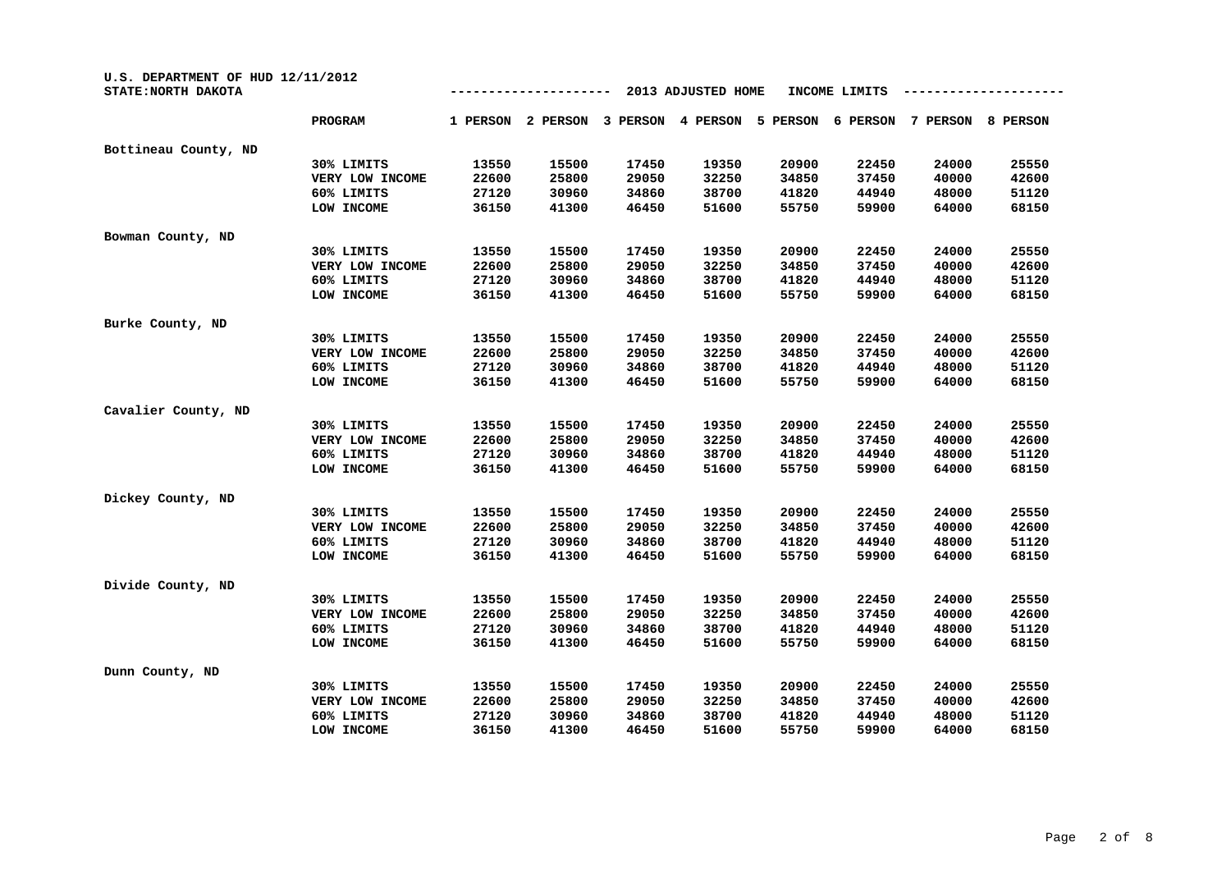| U.S. DEPARTMENT OF HUD 12/11/2012<br>STATE: NORTH DAKOTA |                 |          |          |          | 2013 ADJUSTED HOME |          | INCOME LIMITS |          |          |
|----------------------------------------------------------|-----------------|----------|----------|----------|--------------------|----------|---------------|----------|----------|
|                                                          | PROGRAM         | 1 PERSON | 2 PERSON | 3 PERSON | 4 PERSON           | 5 PERSON | 6 PERSON      | 7 PERSON | 8 PERSON |
| Bottineau County, ND                                     |                 |          |          |          |                    |          |               |          |          |
|                                                          | 30% LIMITS      | 13550    | 15500    | 17450    | 19350              | 20900    | 22450         | 24000    | 25550    |
|                                                          | VERY LOW INCOME | 22600    | 25800    | 29050    | 32250              | 34850    | 37450         | 40000    | 42600    |
|                                                          | 60% LIMITS      | 27120    | 30960    | 34860    | 38700              | 41820    | 44940         | 48000    | 51120    |
|                                                          | LOW INCOME      | 36150    | 41300    | 46450    | 51600              | 55750    | 59900         | 64000    | 68150    |
| Bowman County, ND                                        |                 |          |          |          |                    |          |               |          |          |
|                                                          | 30% LIMITS      | 13550    | 15500    | 17450    | 19350              | 20900    | 22450         | 24000    | 25550    |
|                                                          | VERY LOW INCOME | 22600    | 25800    | 29050    | 32250              | 34850    | 37450         | 40000    | 42600    |
|                                                          | 60% LIMITS      | 27120    | 30960    | 34860    | 38700              | 41820    | 44940         | 48000    | 51120    |
|                                                          | LOW INCOME      | 36150    | 41300    | 46450    | 51600              | 55750    | 59900         | 64000    | 68150    |
| Burke County, ND                                         |                 |          |          |          |                    |          |               |          |          |
|                                                          | 30% LIMITS      | 13550    | 15500    | 17450    | 19350              | 20900    | 22450         | 24000    | 25550    |
|                                                          | VERY LOW INCOME | 22600    | 25800    | 29050    | 32250              | 34850    | 37450         | 40000    | 42600    |
|                                                          | 60% LIMITS      | 27120    | 30960    | 34860    | 38700              | 41820    | 44940         | 48000    | 51120    |
|                                                          | LOW INCOME      | 36150    | 41300    | 46450    | 51600              | 55750    | 59900         | 64000    | 68150    |
| Cavalier County, ND                                      |                 |          |          |          |                    |          |               |          |          |
|                                                          | 30% LIMITS      | 13550    | 15500    | 17450    | 19350              | 20900    | 22450         | 24000    | 25550    |
|                                                          | VERY LOW INCOME | 22600    | 25800    | 29050    | 32250              | 34850    | 37450         | 40000    | 42600    |
|                                                          | 60% LIMITS      | 27120    | 30960    | 34860    | 38700              | 41820    | 44940         | 48000    | 51120    |
|                                                          | LOW INCOME      | 36150    | 41300    | 46450    | 51600              | 55750    | 59900         | 64000    | 68150    |
| Dickey County, ND                                        |                 |          |          |          |                    |          |               |          |          |
|                                                          | 30% LIMITS      | 13550    | 15500    | 17450    | 19350              | 20900    | 22450         | 24000    | 25550    |
|                                                          | VERY LOW INCOME | 22600    | 25800    | 29050    | 32250              | 34850    | 37450         | 40000    | 42600    |
|                                                          | 60% LIMITS      | 27120    | 30960    | 34860    | 38700              | 41820    | 44940         | 48000    | 51120    |
|                                                          | LOW INCOME      | 36150    | 41300    | 46450    | 51600              | 55750    | 59900         | 64000    | 68150    |
| Divide County, ND                                        |                 |          |          |          |                    |          |               |          |          |
|                                                          | 30% LIMITS      | 13550    | 15500    | 17450    | 19350              | 20900    | 22450         | 24000    | 25550    |
|                                                          | VERY LOW INCOME | 22600    | 25800    | 29050    | 32250              | 34850    | 37450         | 40000    | 42600    |
|                                                          | 60% LIMITS      | 27120    | 30960    | 34860    | 38700              | 41820    | 44940         | 48000    | 51120    |
|                                                          | LOW INCOME      | 36150    | 41300    | 46450    | 51600              | 55750    | 59900         | 64000    | 68150    |
| Dunn County, ND                                          |                 |          |          |          |                    |          |               |          |          |
|                                                          | 30% LIMITS      | 13550    | 15500    | 17450    | 19350              | 20900    | 22450         | 24000    | 25550    |
|                                                          | VERY LOW INCOME | 22600    | 25800    | 29050    | 32250              | 34850    | 37450         | 40000    | 42600    |
|                                                          | 60% LIMITS      | 27120    | 30960    | 34860    | 38700              | 41820    | 44940         | 48000    | 51120    |
|                                                          | LOW INCOME      | 36150    | 41300    | 46450    | 51600              | 55750    | 59900         | 64000    | 68150    |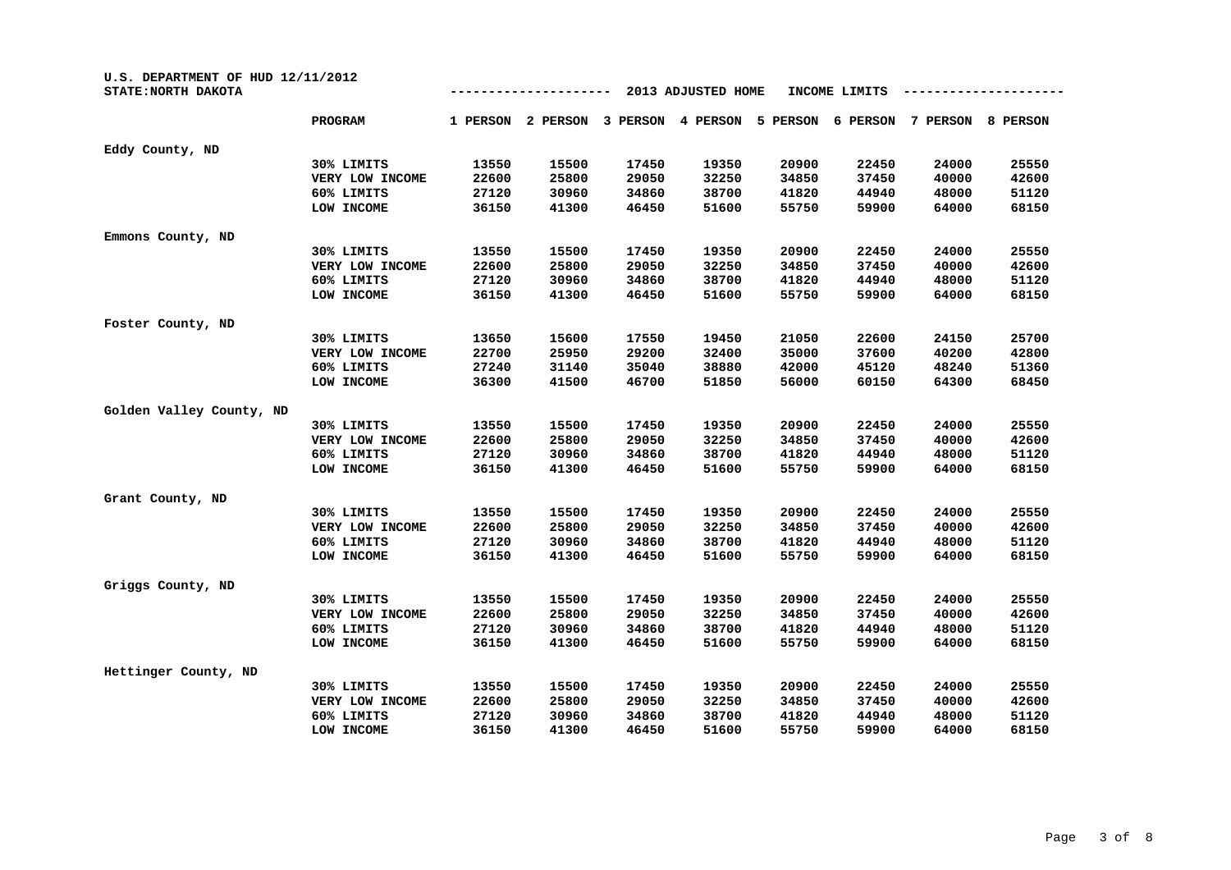| U.S. DEPARTMENT OF HUD 12/11/2012<br>STATE: NORTH DAKOTA |                 |          |          |          | 2013 ADJUSTED HOME |          | INCOME LIMITS |          |          |
|----------------------------------------------------------|-----------------|----------|----------|----------|--------------------|----------|---------------|----------|----------|
|                                                          | <b>PROGRAM</b>  | 1 PERSON | 2 PERSON | 3 PERSON | 4 PERSON           | 5 PERSON | 6 PERSON      | 7 PERSON | 8 PERSON |
| Eddy County, ND                                          |                 |          |          |          |                    |          |               |          |          |
|                                                          | 30% LIMITS      | 13550    | 15500    | 17450    | 19350              | 20900    | 22450         | 24000    | 25550    |
|                                                          | VERY LOW INCOME | 22600    | 25800    | 29050    | 32250              | 34850    | 37450         | 40000    | 42600    |
|                                                          | 60% LIMITS      | 27120    | 30960    | 34860    | 38700              | 41820    | 44940         | 48000    | 51120    |
|                                                          | LOW INCOME      | 36150    | 41300    | 46450    | 51600              | 55750    | 59900         | 64000    | 68150    |
| Emmons County, ND                                        |                 |          |          |          |                    |          |               |          |          |
|                                                          | 30% LIMITS      | 13550    | 15500    | 17450    | 19350              | 20900    | 22450         | 24000    | 25550    |
|                                                          | VERY LOW INCOME | 22600    | 25800    | 29050    | 32250              | 34850    | 37450         | 40000    | 42600    |
|                                                          | 60% LIMITS      | 27120    | 30960    | 34860    | 38700              | 41820    | 44940         | 48000    | 51120    |
|                                                          | LOW INCOME      | 36150    | 41300    | 46450    | 51600              | 55750    | 59900         | 64000    | 68150    |
| Foster County, ND                                        |                 |          |          |          |                    |          |               |          |          |
|                                                          | 30% LIMITS      | 13650    | 15600    | 17550    | 19450              | 21050    | 22600         | 24150    | 25700    |
|                                                          | VERY LOW INCOME | 22700    | 25950    | 29200    | 32400              | 35000    | 37600         | 40200    | 42800    |
|                                                          | 60% LIMITS      | 27240    | 31140    | 35040    | 38880              | 42000    | 45120         | 48240    | 51360    |
|                                                          | LOW INCOME      | 36300    | 41500    | 46700    | 51850              | 56000    | 60150         | 64300    | 68450    |
| Golden Valley County, ND                                 |                 |          |          |          |                    |          |               |          |          |
|                                                          | 30% LIMITS      | 13550    | 15500    | 17450    | 19350              | 20900    | 22450         | 24000    | 25550    |
|                                                          | VERY LOW INCOME | 22600    | 25800    | 29050    | 32250              | 34850    | 37450         | 40000    | 42600    |
|                                                          | 60% LIMITS      | 27120    | 30960    | 34860    | 38700              | 41820    | 44940         | 48000    | 51120    |
|                                                          | LOW INCOME      | 36150    | 41300    | 46450    | 51600              | 55750    | 59900         | 64000    | 68150    |
| Grant County, ND                                         |                 |          |          |          |                    |          |               |          |          |
|                                                          | 30% LIMITS      | 13550    | 15500    | 17450    | 19350              | 20900    | 22450         | 24000    | 25550    |
|                                                          | VERY LOW INCOME | 22600    | 25800    | 29050    | 32250              | 34850    | 37450         | 40000    | 42600    |
|                                                          | 60% LIMITS      | 27120    | 30960    | 34860    | 38700              | 41820    | 44940         | 48000    | 51120    |
|                                                          | LOW INCOME      | 36150    | 41300    | 46450    | 51600              | 55750    | 59900         | 64000    | 68150    |
| Griggs County, ND                                        |                 |          |          |          |                    |          |               |          |          |
|                                                          | 30% LIMITS      | 13550    | 15500    | 17450    | 19350              | 20900    | 22450         | 24000    | 25550    |
|                                                          | VERY LOW INCOME | 22600    | 25800    | 29050    | 32250              | 34850    | 37450         | 40000    | 42600    |
|                                                          | 60% LIMITS      | 27120    | 30960    | 34860    | 38700              | 41820    | 44940         | 48000    | 51120    |
|                                                          | LOW INCOME      | 36150    | 41300    | 46450    | 51600              | 55750    | 59900         | 64000    | 68150    |
| Hettinger County, ND                                     |                 |          |          |          |                    |          |               |          |          |
|                                                          | 30% LIMITS      | 13550    | 15500    | 17450    | 19350              | 20900    | 22450         | 24000    | 25550    |
|                                                          | VERY LOW INCOME | 22600    | 25800    | 29050    | 32250              | 34850    | 37450         | 40000    | 42600    |
|                                                          | 60% LIMITS      | 27120    | 30960    | 34860    | 38700              | 41820    | 44940         | 48000    | 51120    |
|                                                          | LOW INCOME      | 36150    | 41300    | 46450    | 51600              | 55750    | 59900         | 64000    | 68150    |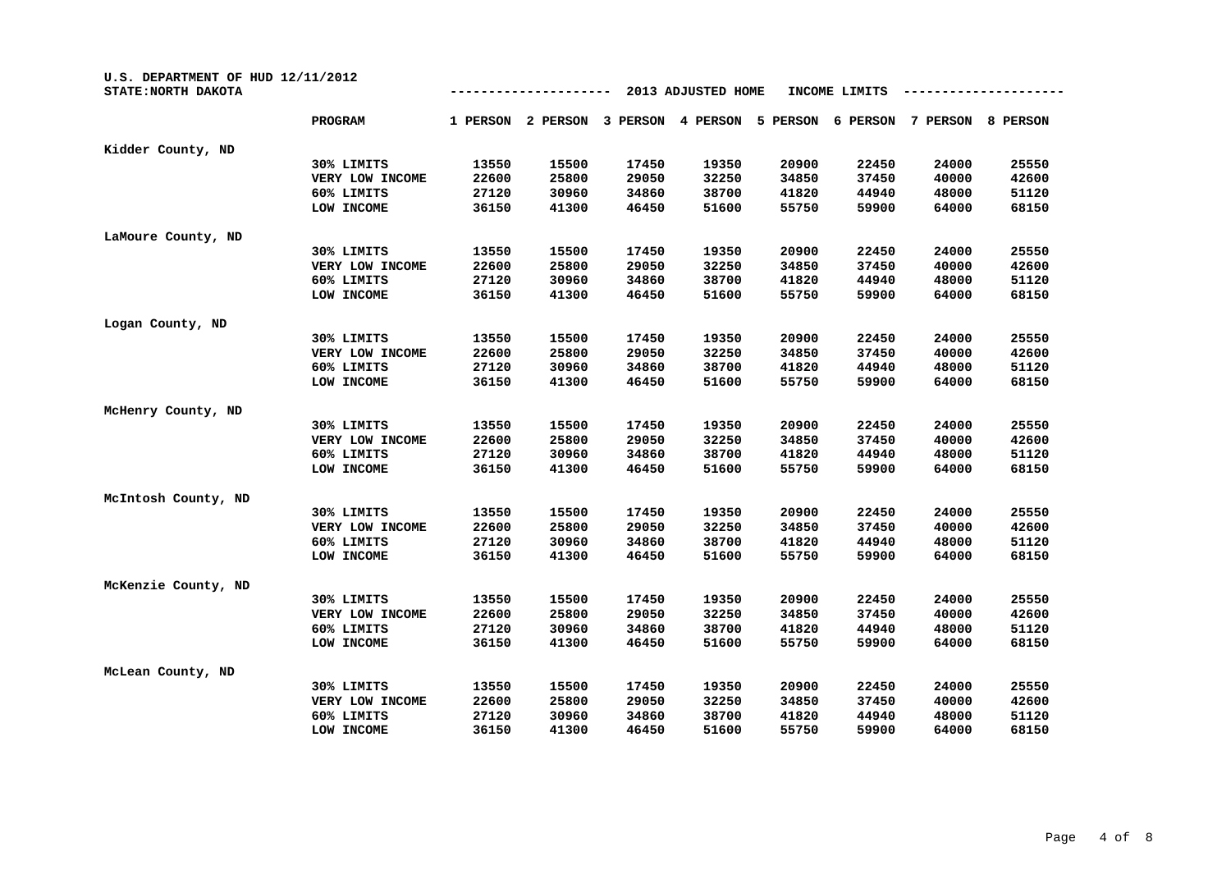| U.S. DEPARTMENT OF HUD 12/11/2012<br>STATE: NORTH DAKOTA |                 |          |          |          | 2013 ADJUSTED HOME |          | INCOME LIMITS |          |                 |
|----------------------------------------------------------|-----------------|----------|----------|----------|--------------------|----------|---------------|----------|-----------------|
|                                                          | PROGRAM         | 1 PERSON | 2 PERSON | 3 PERSON | 4 PERSON           | 5 PERSON | 6 PERSON      | 7 PERSON | <b>8 PERSON</b> |
| Kidder County, ND                                        |                 |          |          |          |                    |          |               |          |                 |
|                                                          | 30% LIMITS      | 13550    | 15500    | 17450    | 19350              | 20900    | 22450         | 24000    | 25550           |
|                                                          | VERY LOW INCOME | 22600    | 25800    | 29050    | 32250              | 34850    | 37450         | 40000    | 42600           |
|                                                          | 60% LIMITS      | 27120    | 30960    | 34860    | 38700              | 41820    | 44940         | 48000    | 51120           |
|                                                          | LOW INCOME      | 36150    | 41300    | 46450    | 51600              | 55750    | 59900         | 64000    | 68150           |
| LaMoure County, ND                                       |                 |          |          |          |                    |          |               |          |                 |
|                                                          | 30% LIMITS      | 13550    | 15500    | 17450    | 19350              | 20900    | 22450         | 24000    | 25550           |
|                                                          | VERY LOW INCOME | 22600    | 25800    | 29050    | 32250              | 34850    | 37450         | 40000    | 42600           |
|                                                          | 60% LIMITS      | 27120    | 30960    | 34860    | 38700              | 41820    | 44940         | 48000    | 51120           |
|                                                          | LOW INCOME      | 36150    | 41300    | 46450    | 51600              | 55750    | 59900         | 64000    | 68150           |
| Logan County, ND                                         |                 |          |          |          |                    |          |               |          |                 |
|                                                          | 30% LIMITS      | 13550    | 15500    | 17450    | 19350              | 20900    | 22450         | 24000    | 25550           |
|                                                          | VERY LOW INCOME | 22600    | 25800    | 29050    | 32250              | 34850    | 37450         | 40000    | 42600           |
|                                                          | 60% LIMITS      | 27120    | 30960    | 34860    | 38700              | 41820    | 44940         | 48000    | 51120           |
|                                                          | LOW INCOME      | 36150    | 41300    | 46450    | 51600              | 55750    | 59900         | 64000    | 68150           |
| McHenry County, ND                                       |                 |          |          |          |                    |          |               |          |                 |
|                                                          | 30% LIMITS      | 13550    | 15500    | 17450    | 19350              | 20900    | 22450         | 24000    | 25550           |
|                                                          | VERY LOW INCOME | 22600    | 25800    | 29050    | 32250              | 34850    | 37450         | 40000    | 42600           |
|                                                          | 60% LIMITS      | 27120    | 30960    | 34860    | 38700              | 41820    | 44940         | 48000    | 51120           |
|                                                          | LOW INCOME      | 36150    | 41300    | 46450    | 51600              | 55750    | 59900         | 64000    | 68150           |
| McIntosh County, ND                                      |                 |          |          |          |                    |          |               |          |                 |
|                                                          | 30% LIMITS      | 13550    | 15500    | 17450    | 19350              | 20900    | 22450         | 24000    | 25550           |
|                                                          | VERY LOW INCOME | 22600    | 25800    | 29050    | 32250              | 34850    | 37450         | 40000    | 42600           |
|                                                          | 60% LIMITS      | 27120    | 30960    | 34860    | 38700              | 41820    | 44940         | 48000    | 51120           |
|                                                          | LOW INCOME      | 36150    | 41300    | 46450    | 51600              | 55750    | 59900         | 64000    | 68150           |
| McKenzie County, ND                                      |                 |          |          |          |                    |          |               |          |                 |
|                                                          | 30% LIMITS      | 13550    | 15500    | 17450    | 19350              | 20900    | 22450         | 24000    | 25550           |
|                                                          | VERY LOW INCOME | 22600    | 25800    | 29050    | 32250              | 34850    | 37450         | 40000    | 42600           |
|                                                          | 60% LIMITS      | 27120    | 30960    | 34860    | 38700              | 41820    | 44940         | 48000    | 51120           |
|                                                          | LOW INCOME      | 36150    | 41300    | 46450    | 51600              | 55750    | 59900         | 64000    | 68150           |
| McLean County, ND                                        |                 |          |          |          |                    |          |               |          |                 |
|                                                          | 30% LIMITS      | 13550    | 15500    | 17450    | 19350              | 20900    | 22450         | 24000    | 25550           |
|                                                          | VERY LOW INCOME | 22600    | 25800    | 29050    | 32250              | 34850    | 37450         | 40000    | 42600           |
|                                                          | 60% LIMITS      | 27120    | 30960    | 34860    | 38700              | 41820    | 44940         | 48000    | 51120           |
|                                                          | LOW INCOME      | 36150    | 41300    | 46450    | 51600              | 55750    | 59900         | 64000    | 68150           |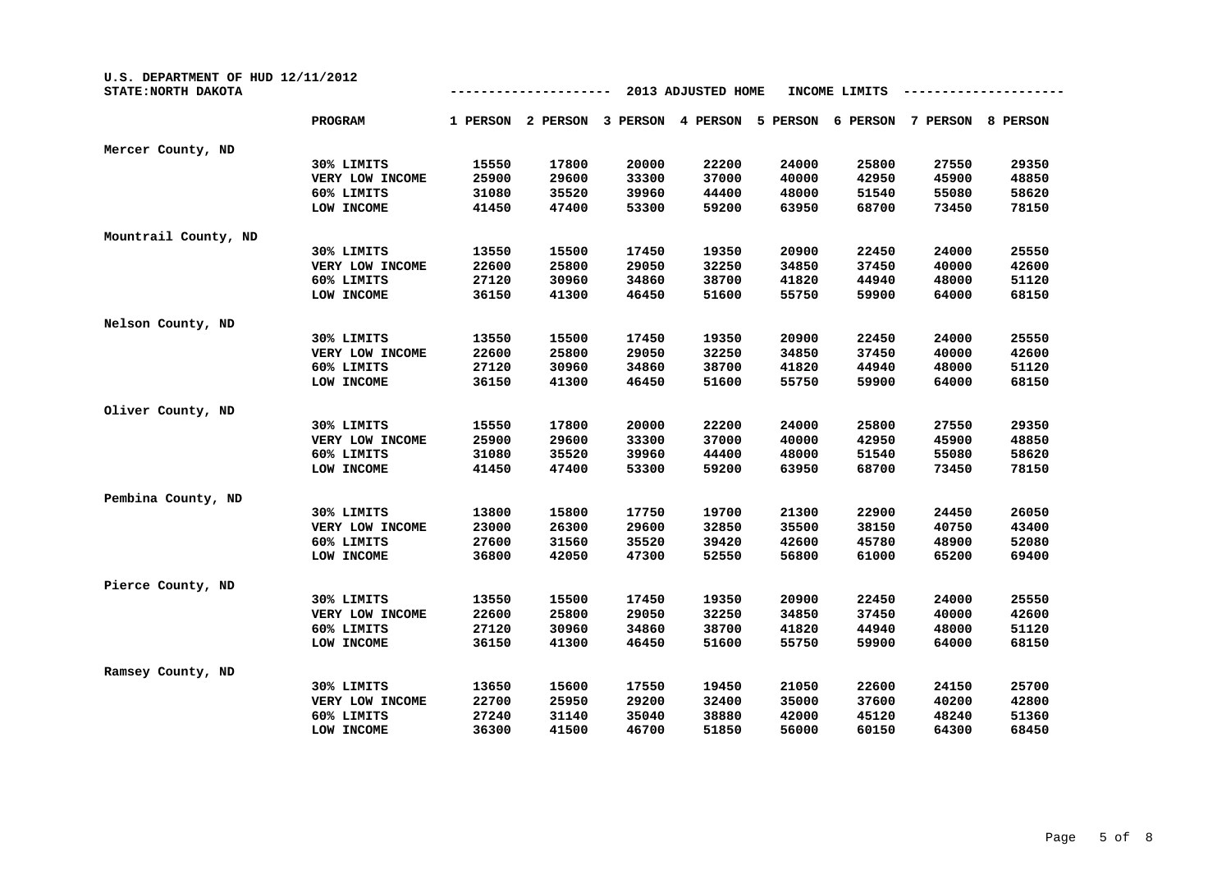| U.S. DEPARTMENT OF HUD 12/11/2012<br>STATE: NORTH DAKOTA |                 |          |          |          | 2013 ADJUSTED HOME |          | INCOME LIMITS |          |          |
|----------------------------------------------------------|-----------------|----------|----------|----------|--------------------|----------|---------------|----------|----------|
|                                                          | PROGRAM         | 1 PERSON | 2 PERSON | 3 PERSON | 4 PERSON           | 5 PERSON | 6 PERSON      | 7 PERSON | 8 PERSON |
| Mercer County, ND                                        |                 |          |          |          |                    |          |               |          |          |
|                                                          | 30% LIMITS      | 15550    | 17800    | 20000    | 22200              | 24000    | 25800         | 27550    | 29350    |
|                                                          | VERY LOW INCOME | 25900    | 29600    | 33300    | 37000              | 40000    | 42950         | 45900    | 48850    |
|                                                          | 60% LIMITS      | 31080    | 35520    | 39960    | 44400              | 48000    | 51540         | 55080    | 58620    |
|                                                          | LOW INCOME      | 41450    | 47400    | 53300    | 59200              | 63950    | 68700         | 73450    | 78150    |
| Mountrail County, ND                                     |                 |          |          |          |                    |          |               |          |          |
|                                                          | 30% LIMITS      | 13550    | 15500    | 17450    | 19350              | 20900    | 22450         | 24000    | 25550    |
|                                                          | VERY LOW INCOME | 22600    | 25800    | 29050    | 32250              | 34850    | 37450         | 40000    | 42600    |
|                                                          | 60% LIMITS      | 27120    | 30960    | 34860    | 38700              | 41820    | 44940         | 48000    | 51120    |
|                                                          | LOW INCOME      | 36150    | 41300    | 46450    | 51600              | 55750    | 59900         | 64000    | 68150    |
| Nelson County, ND                                        |                 |          |          |          |                    |          |               |          |          |
|                                                          | 30% LIMITS      | 13550    | 15500    | 17450    | 19350              | 20900    | 22450         | 24000    | 25550    |
|                                                          | VERY LOW INCOME | 22600    | 25800    | 29050    | 32250              | 34850    | 37450         | 40000    | 42600    |
|                                                          | 60% LIMITS      | 27120    | 30960    | 34860    | 38700              | 41820    | 44940         | 48000    | 51120    |
|                                                          | LOW INCOME      | 36150    | 41300    | 46450    | 51600              | 55750    | 59900         | 64000    | 68150    |
| Oliver County, ND                                        |                 |          |          |          |                    |          |               |          |          |
|                                                          | 30% LIMITS      | 15550    | 17800    | 20000    | 22200              | 24000    | 25800         | 27550    | 29350    |
|                                                          | VERY LOW INCOME | 25900    | 29600    | 33300    | 37000              | 40000    | 42950         | 45900    | 48850    |
|                                                          | 60% LIMITS      | 31080    | 35520    | 39960    | 44400              | 48000    | 51540         | 55080    | 58620    |
|                                                          | LOW INCOME      | 41450    | 47400    | 53300    | 59200              | 63950    | 68700         | 73450    | 78150    |
| Pembina County, ND                                       |                 |          |          |          |                    |          |               |          |          |
|                                                          | 30% LIMITS      | 13800    | 15800    | 17750    | 19700              | 21300    | 22900         | 24450    | 26050    |
|                                                          | VERY LOW INCOME | 23000    | 26300    | 29600    | 32850              | 35500    | 38150         | 40750    | 43400    |
|                                                          | 60% LIMITS      | 27600    | 31560    | 35520    | 39420              | 42600    | 45780         | 48900    | 52080    |
|                                                          | LOW INCOME      | 36800    | 42050    | 47300    | 52550              | 56800    | 61000         | 65200    | 69400    |
| Pierce County, ND                                        |                 |          |          |          |                    |          |               |          |          |
|                                                          | 30% LIMITS      | 13550    | 15500    | 17450    | 19350              | 20900    | 22450         | 24000    | 25550    |
|                                                          | VERY LOW INCOME | 22600    | 25800    | 29050    | 32250              | 34850    | 37450         | 40000    | 42600    |
|                                                          | 60% LIMITS      | 27120    | 30960    | 34860    | 38700              | 41820    | 44940         | 48000    | 51120    |
|                                                          | LOW INCOME      | 36150    | 41300    | 46450    | 51600              | 55750    | 59900         | 64000    | 68150    |
| Ramsey County, ND                                        |                 |          |          |          |                    |          |               |          |          |
|                                                          | 30% LIMITS      | 13650    | 15600    | 17550    | 19450              | 21050    | 22600         | 24150    | 25700    |
|                                                          | VERY LOW INCOME | 22700    | 25950    | 29200    | 32400              | 35000    | 37600         | 40200    | 42800    |
|                                                          | 60% LIMITS      | 27240    | 31140    | 35040    | 38880              | 42000    | 45120         | 48240    | 51360    |
|                                                          | LOW INCOME      | 36300    | 41500    | 46700    | 51850              | 56000    | 60150         | 64300    | 68450    |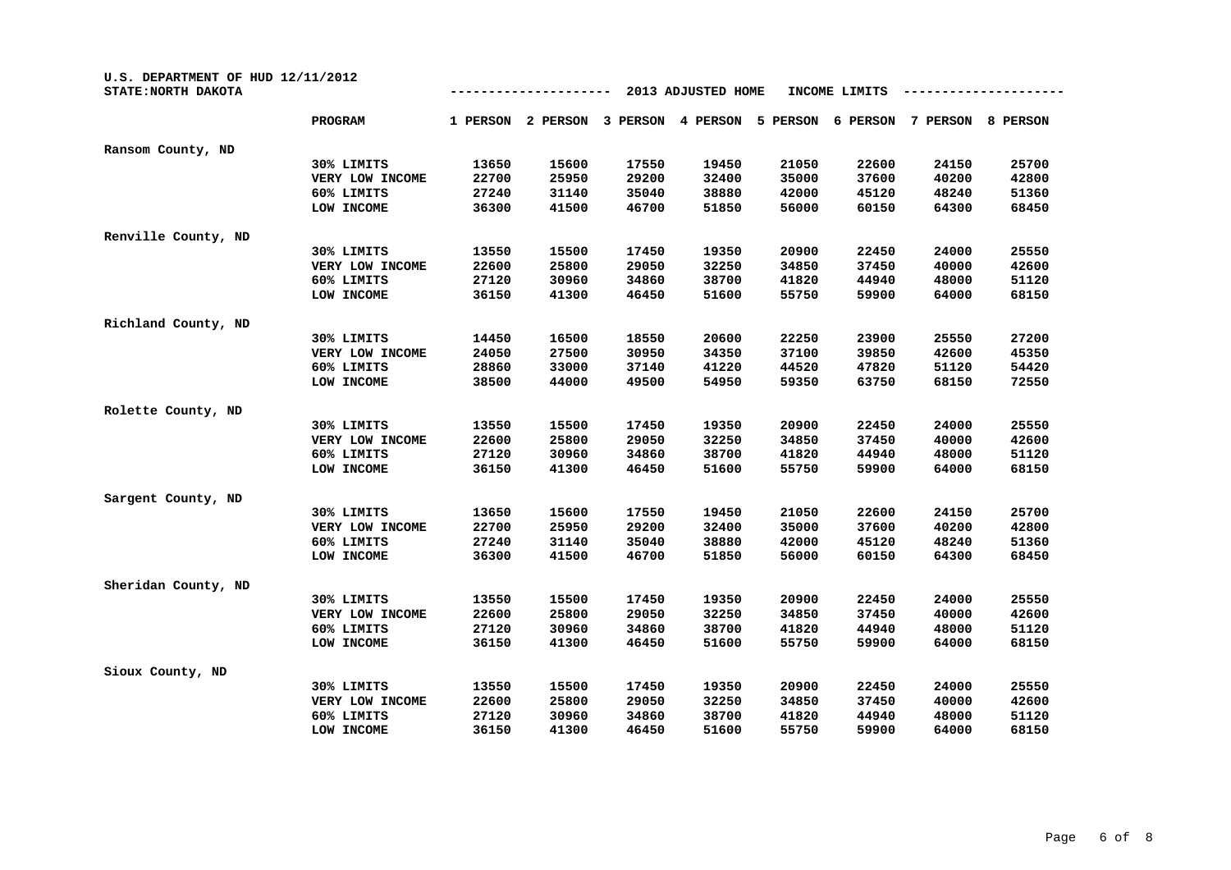| U.S. DEPARTMENT OF HUD 12/11/2012<br>STATE: NORTH DAKOTA |                 |          |          |          | 2013 ADJUSTED HOME |          | INCOME LIMITS |          |          |
|----------------------------------------------------------|-----------------|----------|----------|----------|--------------------|----------|---------------|----------|----------|
|                                                          | PROGRAM         | 1 PERSON | 2 PERSON | 3 PERSON | 4 PERSON           | 5 PERSON | 6 PERSON      | 7 PERSON | 8 PERSON |
| Ransom County, ND                                        |                 |          |          |          |                    |          |               |          |          |
|                                                          | 30% LIMITS      | 13650    | 15600    | 17550    | 19450              | 21050    | 22600         | 24150    | 25700    |
|                                                          | VERY LOW INCOME | 22700    | 25950    | 29200    | 32400              | 35000    | 37600         | 40200    | 42800    |
|                                                          | 60% LIMITS      | 27240    | 31140    | 35040    | 38880              | 42000    | 45120         | 48240    | 51360    |
|                                                          | LOW INCOME      | 36300    | 41500    | 46700    | 51850              | 56000    | 60150         | 64300    | 68450    |
| Renville County, ND                                      |                 |          |          |          |                    |          |               |          |          |
|                                                          | 30% LIMITS      | 13550    | 15500    | 17450    | 19350              | 20900    | 22450         | 24000    | 25550    |
|                                                          | VERY LOW INCOME | 22600    | 25800    | 29050    | 32250              | 34850    | 37450         | 40000    | 42600    |
|                                                          | 60% LIMITS      | 27120    | 30960    | 34860    | 38700              | 41820    | 44940         | 48000    | 51120    |
|                                                          | LOW INCOME      | 36150    | 41300    | 46450    | 51600              | 55750    | 59900         | 64000    | 68150    |
| Richland County, ND                                      |                 |          |          |          |                    |          |               |          |          |
|                                                          | 30% LIMITS      | 14450    | 16500    | 18550    | 20600              | 22250    | 23900         | 25550    | 27200    |
|                                                          | VERY LOW INCOME | 24050    | 27500    | 30950    | 34350              | 37100    | 39850         | 42600    | 45350    |
|                                                          | 60% LIMITS      | 28860    | 33000    | 37140    | 41220              | 44520    | 47820         | 51120    | 54420    |
|                                                          | LOW INCOME      | 38500    | 44000    | 49500    | 54950              | 59350    | 63750         | 68150    | 72550    |
| Rolette County, ND                                       |                 |          |          |          |                    |          |               |          |          |
|                                                          | 30% LIMITS      | 13550    | 15500    | 17450    | 19350              | 20900    | 22450         | 24000    | 25550    |
|                                                          | VERY LOW INCOME | 22600    | 25800    | 29050    | 32250              | 34850    | 37450         | 40000    | 42600    |
|                                                          | 60% LIMITS      | 27120    | 30960    | 34860    | 38700              | 41820    | 44940         | 48000    | 51120    |
|                                                          | LOW INCOME      | 36150    | 41300    | 46450    | 51600              | 55750    | 59900         | 64000    | 68150    |
| Sargent County, ND                                       |                 |          |          |          |                    |          |               |          |          |
|                                                          | 30% LIMITS      | 13650    | 15600    | 17550    | 19450              | 21050    | 22600         | 24150    | 25700    |
|                                                          | VERY LOW INCOME | 22700    | 25950    | 29200    | 32400              | 35000    | 37600         | 40200    | 42800    |
|                                                          | 60% LIMITS      | 27240    | 31140    | 35040    | 38880              | 42000    | 45120         | 48240    | 51360    |
|                                                          | LOW INCOME      | 36300    | 41500    | 46700    | 51850              | 56000    | 60150         | 64300    | 68450    |
| Sheridan County, ND                                      |                 |          |          |          |                    |          |               |          |          |
|                                                          | 30% LIMITS      | 13550    | 15500    | 17450    | 19350              | 20900    | 22450         | 24000    | 25550    |
|                                                          | VERY LOW INCOME | 22600    | 25800    | 29050    | 32250              | 34850    | 37450         | 40000    | 42600    |
|                                                          | 60% LIMITS      | 27120    | 30960    | 34860    | 38700              | 41820    | 44940         | 48000    | 51120    |
|                                                          | LOW INCOME      | 36150    | 41300    | 46450    | 51600              | 55750    | 59900         | 64000    | 68150    |
| Sioux County, ND                                         |                 |          |          |          |                    |          |               |          |          |
|                                                          | 30% LIMITS      | 13550    | 15500    | 17450    | 19350              | 20900    | 22450         | 24000    | 25550    |
|                                                          | VERY LOW INCOME | 22600    | 25800    | 29050    | 32250              | 34850    | 37450         | 40000    | 42600    |
|                                                          | 60% LIMITS      | 27120    | 30960    | 34860    | 38700              | 41820    | 44940         | 48000    | 51120    |
|                                                          | LOW INCOME      | 36150    | 41300    | 46450    | 51600              | 55750    | 59900         | 64000    | 68150    |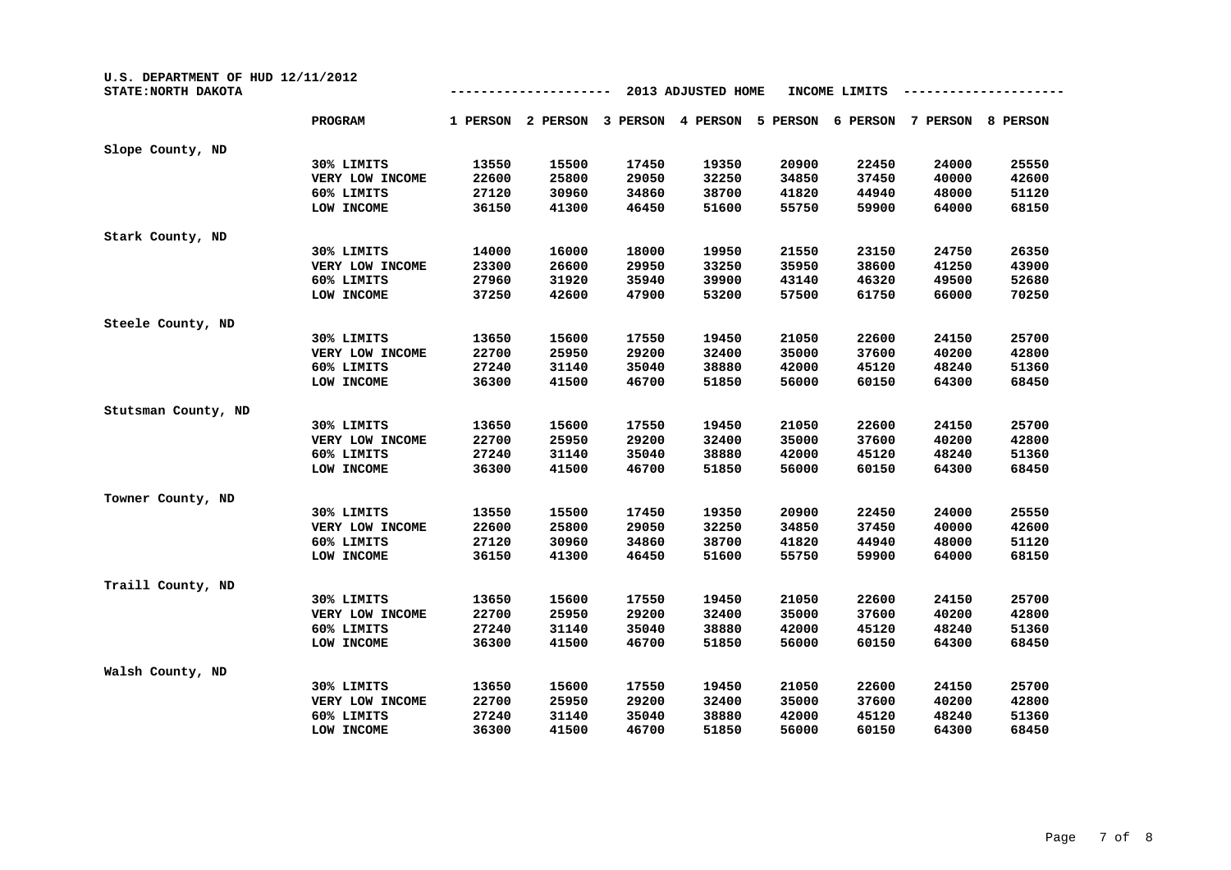| U.S. DEPARTMENT OF HUD 12/11/2012<br>STATE: NORTH DAKOTA |                 |          |          |          | 2013 ADJUSTED HOME |          | INCOME LIMITS |          |          |
|----------------------------------------------------------|-----------------|----------|----------|----------|--------------------|----------|---------------|----------|----------|
|                                                          | PROGRAM         | 1 PERSON | 2 PERSON | 3 PERSON | 4 PERSON           | 5 PERSON | 6 PERSON      | 7 PERSON | 8 PERSON |
| Slope County, ND                                         |                 |          |          |          |                    |          |               |          |          |
|                                                          | 30% LIMITS      | 13550    | 15500    | 17450    | 19350              | 20900    | 22450         | 24000    | 25550    |
|                                                          | VERY LOW INCOME | 22600    | 25800    | 29050    | 32250              | 34850    | 37450         | 40000    | 42600    |
|                                                          | 60% LIMITS      | 27120    | 30960    | 34860    | 38700              | 41820    | 44940         | 48000    | 51120    |
|                                                          | LOW INCOME      | 36150    | 41300    | 46450    | 51600              | 55750    | 59900         | 64000    | 68150    |
| Stark County, ND                                         |                 |          |          |          |                    |          |               |          |          |
|                                                          | 30% LIMITS      | 14000    | 16000    | 18000    | 19950              | 21550    | 23150         | 24750    | 26350    |
|                                                          | VERY LOW INCOME | 23300    | 26600    | 29950    | 33250              | 35950    | 38600         | 41250    | 43900    |
|                                                          | 60% LIMITS      | 27960    | 31920    | 35940    | 39900              | 43140    | 46320         | 49500    | 52680    |
|                                                          | LOW INCOME      | 37250    | 42600    | 47900    | 53200              | 57500    | 61750         | 66000    | 70250    |
| Steele County, ND                                        |                 |          |          |          |                    |          |               |          |          |
|                                                          | 30% LIMITS      | 13650    | 15600    | 17550    | 19450              | 21050    | 22600         | 24150    | 25700    |
|                                                          | VERY LOW INCOME | 22700    | 25950    | 29200    | 32400              | 35000    | 37600         | 40200    | 42800    |
|                                                          | 60% LIMITS      | 27240    | 31140    | 35040    | 38880              | 42000    | 45120         | 48240    | 51360    |
|                                                          | LOW INCOME      | 36300    | 41500    | 46700    | 51850              | 56000    | 60150         | 64300    | 68450    |
| Stutsman County, ND                                      |                 |          |          |          |                    |          |               |          |          |
|                                                          | 30% LIMITS      | 13650    | 15600    | 17550    | 19450              | 21050    | 22600         | 24150    | 25700    |
|                                                          | VERY LOW INCOME | 22700    | 25950    | 29200    | 32400              | 35000    | 37600         | 40200    | 42800    |
|                                                          | 60% LIMITS      | 27240    | 31140    | 35040    | 38880              | 42000    | 45120         | 48240    | 51360    |
|                                                          | LOW INCOME      | 36300    | 41500    | 46700    | 51850              | 56000    | 60150         | 64300    | 68450    |
| Towner County, ND                                        |                 |          |          |          |                    |          |               |          |          |
|                                                          | 30% LIMITS      | 13550    | 15500    | 17450    | 19350              | 20900    | 22450         | 24000    | 25550    |
|                                                          | VERY LOW INCOME | 22600    | 25800    | 29050    | 32250              | 34850    | 37450         | 40000    | 42600    |
|                                                          | 60% LIMITS      | 27120    | 30960    | 34860    | 38700              | 41820    | 44940         | 48000    | 51120    |
|                                                          | LOW INCOME      | 36150    | 41300    | 46450    | 51600              | 55750    | 59900         | 64000    | 68150    |
| Traill County, ND                                        |                 |          |          |          |                    |          |               |          |          |
|                                                          | 30% LIMITS      | 13650    | 15600    | 17550    | 19450              | 21050    | 22600         | 24150    | 25700    |
|                                                          | VERY LOW INCOME | 22700    | 25950    | 29200    | 32400              | 35000    | 37600         | 40200    | 42800    |
|                                                          | 60% LIMITS      | 27240    | 31140    | 35040    | 38880              | 42000    | 45120         | 48240    | 51360    |
|                                                          | LOW INCOME      | 36300    | 41500    | 46700    | 51850              | 56000    | 60150         | 64300    | 68450    |
| Walsh County, ND                                         |                 |          |          |          |                    |          |               |          |          |
|                                                          | 30% LIMITS      | 13650    | 15600    | 17550    | 19450              | 21050    | 22600         | 24150    | 25700    |
|                                                          | VERY LOW INCOME | 22700    | 25950    | 29200    | 32400              | 35000    | 37600         | 40200    | 42800    |
|                                                          | 60% LIMITS      | 27240    | 31140    | 35040    | 38880              | 42000    | 45120         | 48240    | 51360    |
|                                                          | LOW INCOME      | 36300    | 41500    | 46700    | 51850              | 56000    | 60150         | 64300    | 68450    |